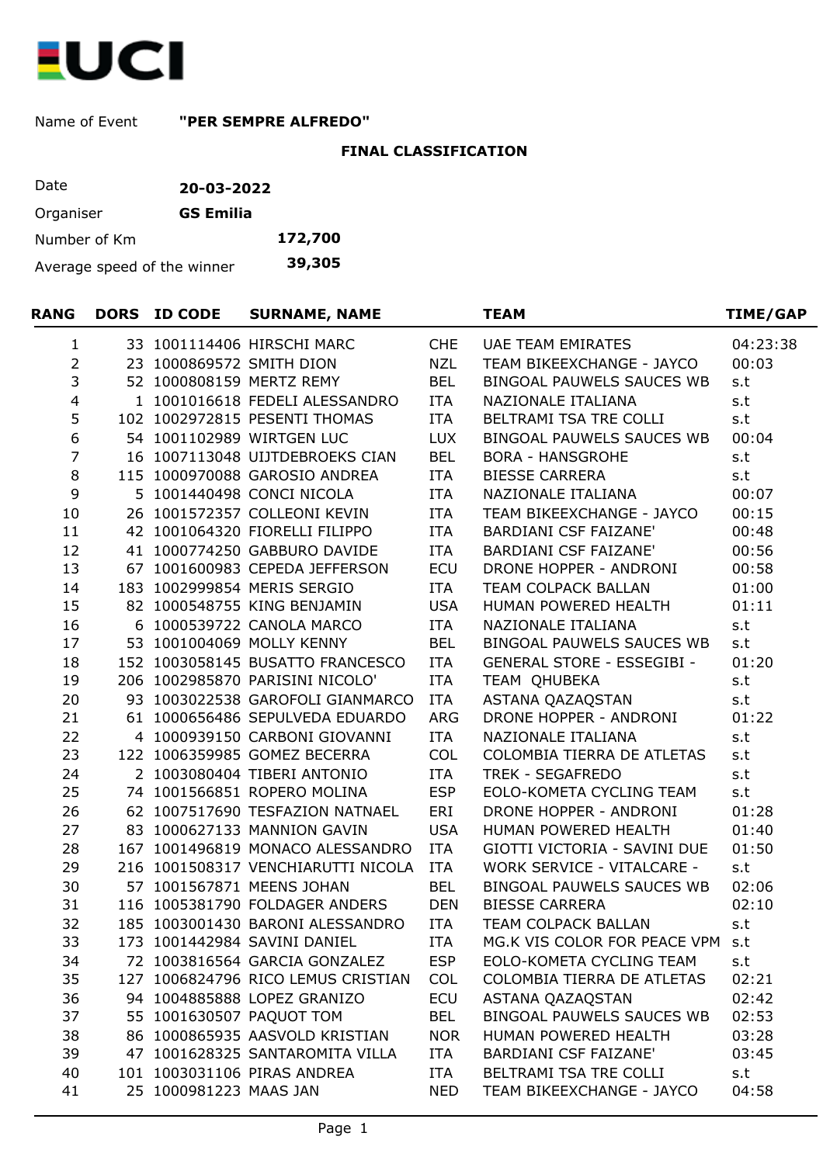

Name of Event **"PER SEMPRE ALFREDO"**

## **FINAL CLASSIFICATION**

| Date                        | 20-03-2022       |         |
|-----------------------------|------------------|---------|
| Organiser                   | <b>GS Emilia</b> |         |
| Number of Km                |                  | 172,700 |
| Average speed of the winner | 39,305           |         |

| RANG             | DORS ID CODE           | <b>SURNAME, NAME</b>               |            | <b>TEAM</b>                       | <b>TIME/GAP</b> |
|------------------|------------------------|------------------------------------|------------|-----------------------------------|-----------------|
| 1                |                        | 33 1001114406 HIRSCHI MARC         | <b>CHE</b> | UAE TEAM EMIRATES                 | 04:23:38        |
| $\overline{2}$   |                        | 23 1000869572 SMITH DION           | <b>NZL</b> | TEAM BIKEEXCHANGE - JAYCO         | 00:03           |
| 3                |                        | 52 1000808159 MERTZ REMY           | <b>BEL</b> | BINGOAL PAUWELS SAUCES WB         | s.t             |
| $\overline{4}$   |                        | 1 1001016618 FEDELI ALESSANDRO     | ITA        | NAZIONALE ITALIANA                | s.t             |
| 5                |                        | 102 1002972815 PESENTI THOMAS      | <b>ITA</b> | BELTRAMI TSA TRE COLLI            | s.t             |
| $\boldsymbol{6}$ |                        | 54 1001102989 WIRTGEN LUC          | <b>LUX</b> | BINGOAL PAUWELS SAUCES WB         | 00:04           |
| $\overline{7}$   |                        | 16 1007113048 UIJTDEBROEKS CIAN    | <b>BEL</b> | <b>BORA - HANSGROHE</b>           | s.t             |
| $\,8\,$          |                        | 115 1000970088 GAROSIO ANDREA      | ITA        | <b>BIESSE CARRERA</b>             | s.t             |
| 9                |                        | 5 1001440498 CONCI NICOLA          | ITA        | NAZIONALE ITALIANA                | 00:07           |
| 10               |                        | 26 1001572357 COLLEONI KEVIN       | <b>ITA</b> | TEAM BIKEEXCHANGE - JAYCO         | 00:15           |
| 11               |                        | 42 1001064320 FIORELLI FILIPPO     | <b>ITA</b> | <b>BARDIANI CSF FAIZANE'</b>      | 00:48           |
| 12               |                        | 41 1000774250 GABBURO DAVIDE       | <b>ITA</b> | <b>BARDIANI CSF FAIZANE'</b>      | 00:56           |
| 13               |                        | 67 1001600983 CEPEDA JEFFERSON     | <b>ECU</b> | DRONE HOPPER - ANDRONI            | 00:58           |
| 14               |                        | 183 1002999854 MERIS SERGIO        | <b>ITA</b> | TEAM COLPACK BALLAN               | 01:00           |
| 15               |                        | 82 1000548755 KING BENJAMIN        | <b>USA</b> | HUMAN POWERED HEALTH              | 01:11           |
| 16               |                        | 6 1000539722 CANOLA MARCO          | ITA        | NAZIONALE ITALIANA                | s.t             |
| 17               |                        | 53 1001004069 MOLLY KENNY          | <b>BEL</b> | BINGOAL PAUWELS SAUCES WB         | s.t             |
| 18               |                        | 152 1003058145 BUSATTO FRANCESCO   | ITA        | GENERAL STORE - ESSEGIBI -        | 01:20           |
| 19               |                        | 206 1002985870 PARISINI NICOLO'    | ITA        | TEAM OHUBEKA                      | s.t             |
| 20               |                        | 93 1003022538 GAROFOLI GIANMARCO   | <b>ITA</b> | ASTANA QAZAQSTAN                  | s.t             |
| 21               |                        | 61 1000656486 SEPULVEDA EDUARDO    | ARG        | DRONE HOPPER - ANDRONI            | 01:22           |
| 22               |                        | 4 1000939150 CARBONI GIOVANNI      | <b>ITA</b> | NAZIONALE ITALIANA                | s.t             |
| 23               |                        | 122 1006359985 GOMEZ BECERRA       | <b>COL</b> | COLOMBIA TIERRA DE ATLETAS        | s.t             |
| 24               |                        | 2 1003080404 TIBERI ANTONIO        | <b>ITA</b> | TREK - SEGAFREDO                  | s.t             |
| 25               |                        | 74 1001566851 ROPERO MOLINA        | <b>ESP</b> | EOLO-KOMETA CYCLING TEAM          | s.t             |
| 26               |                        | 62 1007517690 TESFAZION NATNAEL    | ERI        | DRONE HOPPER - ANDRONI            | 01:28           |
| 27               |                        | 83 1000627133 MANNION GAVIN        | <b>USA</b> | HUMAN POWERED HEALTH              | 01:40           |
| 28               |                        | 167 1001496819 MONACO ALESSANDRO   | ITA        | GIOTTI VICTORIA - SAVINI DUE      | 01:50           |
| 29               |                        | 216 1001508317 VENCHIARUTTI NICOLA | ITA        | <b>WORK SERVICE - VITALCARE -</b> | s.t             |
| 30               |                        | 57 1001567871 MEENS JOHAN          | <b>BEL</b> | BINGOAL PAUWELS SAUCES WB         | 02:06           |
| 31               |                        | 116 1005381790 FOLDAGER ANDERS     | <b>DEN</b> | <b>BIESSE CARRERA</b>             | 02:10           |
| 32               |                        | 185 1003001430 BARONI ALESSANDRO   | <b>ITA</b> | TEAM COLPACK BALLAN               | s.t             |
| 33               |                        | 173 1001442984 SAVINI DANIEL       | ITA        | MG.K VIS COLOR FOR PEACE VPM      | s.t             |
| 34               |                        | 72 1003816564 GARCIA GONZALEZ      | <b>ESP</b> | EOLO-KOMETA CYCLING TEAM          | s.t             |
| 35               |                        | 127 1006824796 RICO LEMUS CRISTIAN | <b>COL</b> | COLOMBIA TIERRA DE ATLETAS        | 02:21           |
| 36               |                        | 94 1004885888 LOPEZ GRANIZO        | ECU        | ASTANA QAZAQSTAN                  | 02:42           |
| 37               |                        | 55 1001630507 PAQUOT TOM           | <b>BEL</b> | BINGOAL PAUWELS SAUCES WB         | 02:53           |
| 38               |                        | 86 1000865935 AASVOLD KRISTIAN     | <b>NOR</b> | HUMAN POWERED HEALTH              | 03:28           |
| 39               |                        | 47 1001628325 SANTAROMITA VILLA    | <b>ITA</b> | <b>BARDIANI CSF FAIZANE'</b>      | 03:45           |
| 40               |                        | 101 1003031106 PIRAS ANDREA        | <b>ITA</b> | BELTRAMI TSA TRE COLLI            | s.t             |
| 41               | 25 1000981223 MAAS JAN |                                    | <b>NED</b> | TEAM BIKEEXCHANGE - JAYCO         | 04:58           |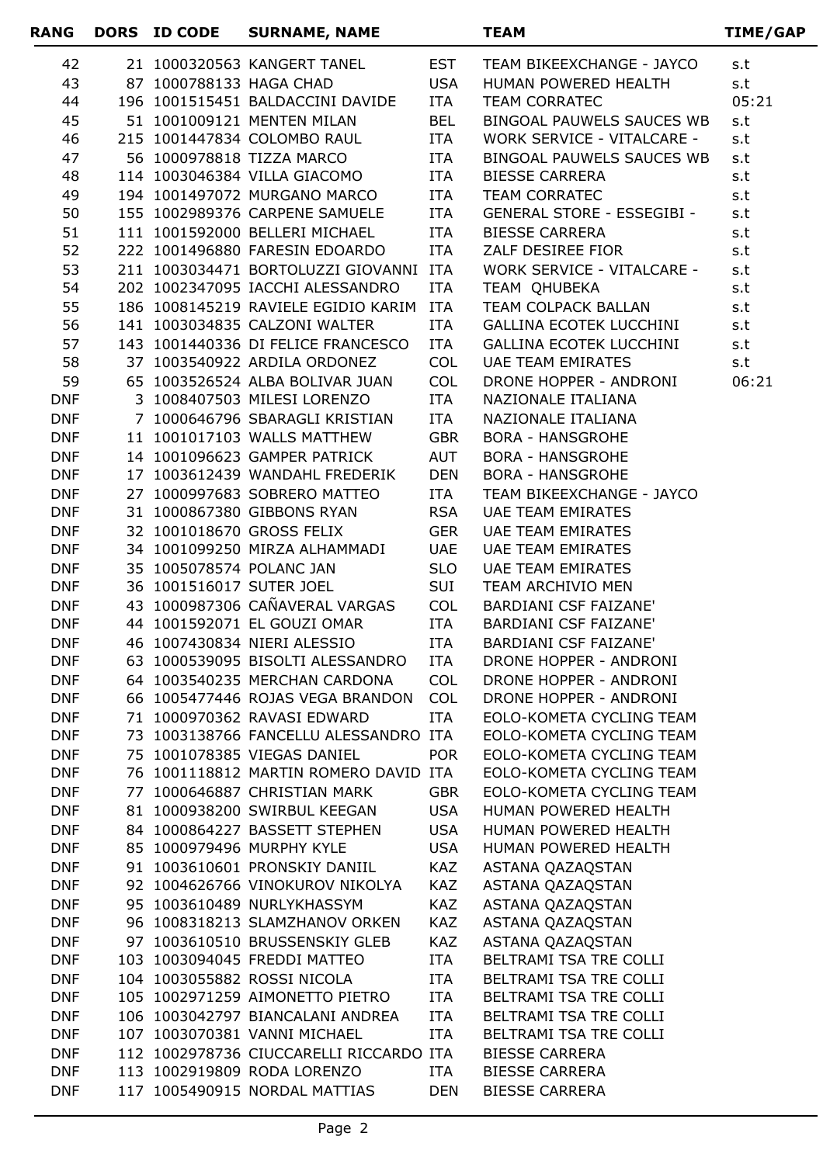| <b>RANG</b>              | DORS ID CODE            | <b>SURNAME, NAME</b>                                             |                          | <b>TEAM</b>                                          | TIME/GAP |
|--------------------------|-------------------------|------------------------------------------------------------------|--------------------------|------------------------------------------------------|----------|
| 42                       |                         | 21 1000320563 KANGERT TANEL                                      | <b>EST</b>               | TEAM BIKEEXCHANGE - JAYCO                            | s.t      |
| 43                       | 87 1000788133 HAGA CHAD |                                                                  | <b>USA</b>               | HUMAN POWERED HEALTH                                 | s.t      |
| 44                       |                         | 196 1001515451 BALDACCINI DAVIDE                                 | ITA                      | <b>TEAM CORRATEC</b>                                 | 05:21    |
| 45                       |                         | 51 1001009121 MENTEN MILAN                                       | <b>BEL</b>               | BINGOAL PAUWELS SAUCES WB                            | s.t      |
| 46                       |                         | 215 1001447834 COLOMBO RAUL                                      | ITA                      | WORK SERVICE - VITALCARE -                           | s.t      |
| 47                       |                         | 56 1000978818 TIZZA MARCO                                        | ITA                      | BINGOAL PAUWELS SAUCES WB                            | s.t      |
| 48                       |                         | 114 1003046384 VILLA GIACOMO                                     | ITA                      | <b>BIESSE CARRERA</b>                                | s.t      |
| 49                       |                         | 194 1001497072 MURGANO MARCO                                     | ITA                      | <b>TEAM CORRATEC</b>                                 | s.t      |
| 50                       |                         | 155 1002989376 CARPENE SAMUELE                                   | ITA                      | GENERAL STORE - ESSEGIBI -                           | s.t      |
| 51                       |                         | 111 1001592000 BELLERI MICHAEL                                   | ITA                      | <b>BIESSE CARRERA</b>                                | s.t      |
| 52                       |                         | 222 1001496880 FARESIN EDOARDO                                   | ITA                      | ZALF DESIREE FIOR                                    | s.t      |
| 53                       |                         | 211 1003034471 BORTOLUZZI GIOVANNI ITA                           |                          | WORK SERVICE - VITALCARE -                           | s.t      |
| 54                       |                         | 202 1002347095 IACCHI ALESSANDRO                                 | ITA                      | TEAM QHUBEKA                                         | s.t      |
| 55                       |                         | 186 1008145219 RAVIELE EGIDIO KARIM                              | <b>ITA</b>               | TEAM COLPACK BALLAN                                  | s.t      |
| 56                       |                         | 141 1003034835 CALZONI WALTER                                    | ITA                      | <b>GALLINA ECOTEK LUCCHINI</b>                       | s.t      |
| 57                       |                         | 143 1001440336 DI FELICE FRANCESCO                               | <b>ITA</b>               | <b>GALLINA ECOTEK LUCCHINI</b>                       | s.t      |
| 58                       |                         | 37 1003540922 ARDILA ORDONEZ                                     | <b>COL</b>               | <b>UAE TEAM EMIRATES</b>                             | s.t      |
| 59                       |                         | 65 1003526524 ALBA BOLIVAR JUAN                                  | <b>COL</b>               | DRONE HOPPER - ANDRONI                               | 06:21    |
| <b>DNF</b>               |                         | 3 1008407503 MILESI LORENZO                                      | ITA                      | NAZIONALE ITALIANA                                   |          |
| <b>DNF</b>               |                         | 7 1000646796 SBARAGLI KRISTIAN                                   | ITA                      | NAZIONALE ITALIANA                                   |          |
| <b>DNF</b>               |                         | 11 1001017103 WALLS MATTHEW                                      | <b>GBR</b>               | <b>BORA - HANSGROHE</b>                              |          |
| <b>DNF</b>               |                         | 14 1001096623 GAMPER PATRICK                                     | AUT                      | <b>BORA - HANSGROHE</b>                              |          |
| <b>DNF</b>               |                         | 17 1003612439 WANDAHL FREDERIK                                   | <b>DEN</b>               | <b>BORA - HANSGROHE</b>                              |          |
| <b>DNF</b><br><b>DNF</b> |                         | 27 1000997683 SOBRERO MATTEO<br>31 1000867380 GIBBONS RYAN       | <b>ITA</b><br><b>RSA</b> | TEAM BIKEEXCHANGE - JAYCO                            |          |
| <b>DNF</b>               |                         | 32 1001018670 GROSS FELIX                                        | <b>GER</b>               | <b>UAE TEAM EMIRATES</b><br><b>UAE TEAM EMIRATES</b> |          |
| <b>DNF</b>               |                         | 34 1001099250 MIRZA ALHAMMADI                                    | <b>UAE</b>               | UAE TEAM EMIRATES                                    |          |
| <b>DNF</b>               |                         | 35 1005078574 POLANC JAN                                         | <b>SLO</b>               | <b>UAE TEAM EMIRATES</b>                             |          |
| <b>DNF</b>               |                         | 36 1001516017 SUTER JOEL                                         | SUI                      | TEAM ARCHIVIO MEN                                    |          |
| <b>DNF</b>               |                         | 43 1000987306 CAÑAVERAL VARGAS                                   | <b>COL</b>               | <b>BARDIANI CSF FAIZANE'</b>                         |          |
| <b>DNF</b>               |                         | 44 1001592071 EL GOUZI OMAR                                      | <b>ITA</b>               | <b>BARDIANI CSF FAIZANE'</b>                         |          |
| <b>DNF</b>               |                         | 46 1007430834 NIERI ALESSIO                                      | ITA                      | <b>BARDIANI CSF FAIZANE'</b>                         |          |
| <b>DNF</b>               |                         | 63 1000539095 BISOLTI ALESSANDRO ITA                             |                          | <b>DRONE HOPPER - ANDRONI</b>                        |          |
| <b>DNF</b>               |                         | 64 1003540235 MERCHAN CARDONA COL                                |                          | DRONE HOPPER - ANDRONI                               |          |
| <b>DNF</b>               |                         | 66 1005477446 ROJAS VEGA BRANDON COL                             |                          | DRONE HOPPER - ANDRONI                               |          |
| <b>DNF</b>               |                         | 71 1000970362 RAVASI EDWARD                                      | <b>ITA</b>               | EOLO-KOMETA CYCLING TEAM                             |          |
| <b>DNF</b>               |                         | 73 1003138766 FANCELLU ALESSANDRO ITA                            |                          | EOLO-KOMETA CYCLING TEAM                             |          |
| <b>DNF</b>               |                         | 75 1001078385 VIEGAS DANIEL                                      | <b>POR</b>               | EOLO-KOMETA CYCLING TEAM                             |          |
| <b>DNF</b>               |                         | 76 1001118812 MARTIN ROMERO DAVID ITA                            |                          | EOLO-KOMETA CYCLING TEAM                             |          |
| <b>DNF</b>               |                         | 77 1000646887 CHRISTIAN MARK                                     | GBR                      | EOLO-KOMETA CYCLING TEAM                             |          |
| <b>DNF</b>               |                         | 81 1000938200 SWIRBUL KEEGAN USA                                 |                          | HUMAN POWERED HEALTH                                 |          |
| <b>DNF</b>               |                         | 84 1000864227 BASSETT STEPHEN USA                                |                          | HUMAN POWERED HEALTH                                 |          |
| <b>DNF</b>               |                         | 85 1000979496 MURPHY KYLE                                        | USA                      | HUMAN POWERED HEALTH                                 |          |
| <b>DNF</b>               |                         | 91 1003610601 PRONSKIY DANIIL                                    | KAZ                      | ASTANA QAZAQSTAN                                     |          |
| <b>DNF</b>               |                         | 92 1004626766 VINOKUROV NIKOLYA                                  | KAZ                      | ASTANA QAZAQSTAN                                     |          |
| <b>DNF</b>               |                         | 95 1003610489 NURLYKHASSYM                                       | KAZ                      | ASTANA QAZAQSTAN                                     |          |
| <b>DNF</b>               |                         | 96 1008318213 SLAMZHANOV ORKEN                                   | KAZ                      | ASTANA QAZAQSTAN                                     |          |
| <b>DNF</b>               |                         | 97 1003610510 BRUSSENSKIY GLEB                                   | KAZ                      | ASTANA QAZAQSTAN                                     |          |
| <b>DNF</b>               |                         | 103 1003094045 FREDDI MATTEO                                     | ITA                      | BELTRAMI TSA TRE COLLI                               |          |
| <b>DNF</b>               |                         | 104 1003055882 ROSSI NICOLA                                      | ITA                      | BELTRAMI TSA TRE COLLI                               |          |
| <b>DNF</b>               |                         | 105 1002971259 AIMONETTO PIETRO                                  | ITA                      | BELTRAMI TSA TRE COLLI                               |          |
| <b>DNF</b><br><b>DNF</b> |                         | 106 1003042797 BIANCALANI ANDREA<br>107 1003070381 VANNI MICHAEL | <b>ITA</b><br>ITA        | BELTRAMI TSA TRE COLLI<br>BELTRAMI TSA TRE COLLI     |          |
| <b>DNF</b>               |                         | 112 1002978736 CIUCCARELLI RICCARDO ITA                          |                          | <b>BIESSE CARRERA</b>                                |          |
| <b>DNF</b>               |                         | 113 1002919809 RODA LORENZO                                      | ITA                      | <b>BIESSE CARRERA</b>                                |          |
| <b>DNF</b>               |                         | 117 1005490915 NORDAL MATTIAS DEN                                |                          | <b>BIESSE CARRERA</b>                                |          |
|                          |                         |                                                                  |                          |                                                      |          |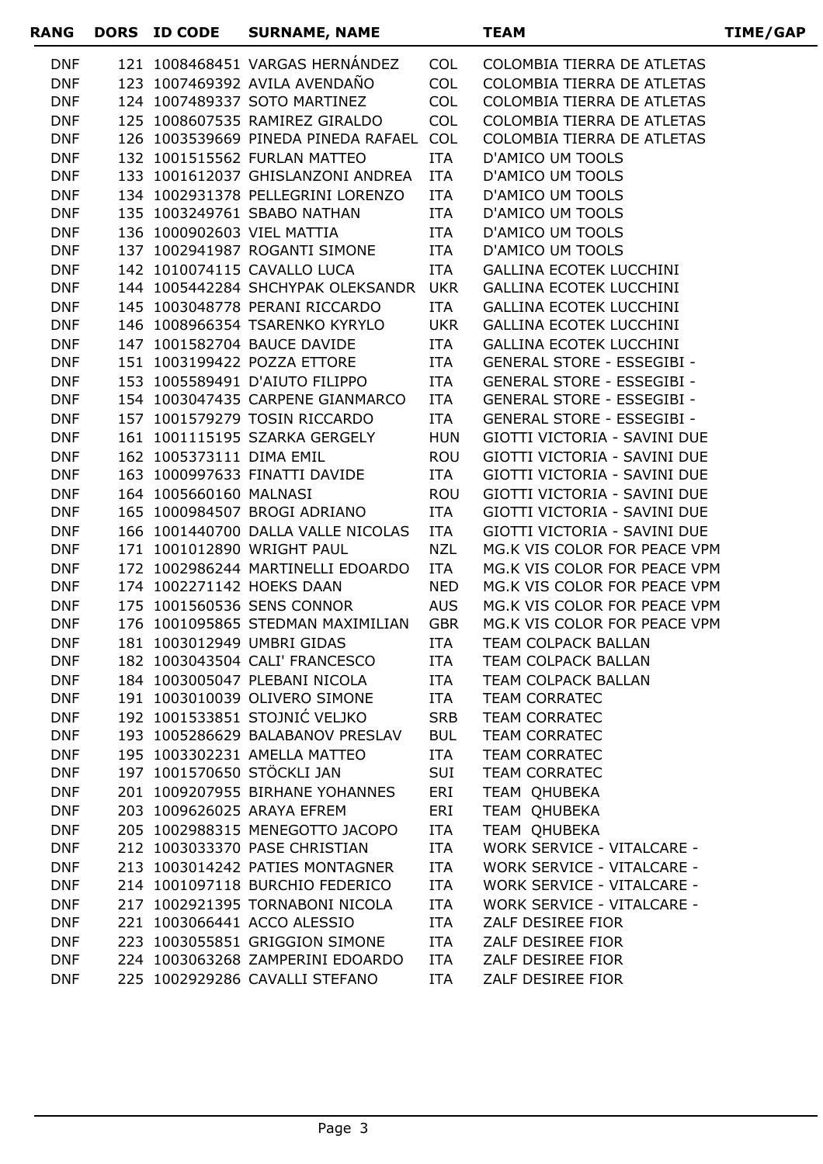| RANG                     | DORS ID CODE             | <b>SURNAME, NAME</b>                                             |                   | <b>TEAM</b>                                                  | <b>TIME/GAP</b> |
|--------------------------|--------------------------|------------------------------------------------------------------|-------------------|--------------------------------------------------------------|-----------------|
| <b>DNF</b>               |                          | 121 1008468451 VARGAS HERNÁNDEZ                                  | <b>COL</b>        | COLOMBIA TIERRA DE ATLETAS                                   |                 |
| <b>DNF</b>               |                          | 123 1007469392 AVILA AVENDAÑO                                    | <b>COL</b>        | COLOMBIA TIERRA DE ATLETAS                                   |                 |
| <b>DNF</b>               |                          | 124 1007489337 SOTO MARTINEZ                                     | <b>COL</b>        | COLOMBIA TIERRA DE ATLETAS                                   |                 |
| <b>DNF</b>               |                          | 125 1008607535 RAMIREZ GIRALDO                                   | <b>COL</b>        | COLOMBIA TIERRA DE ATLETAS                                   |                 |
| <b>DNF</b>               |                          | 126 1003539669 PINEDA PINEDA RAFAEL COL                          |                   | COLOMBIA TIERRA DE ATLETAS                                   |                 |
| <b>DNF</b>               |                          | 132 1001515562 FURLAN MATTEO                                     | ITA               | D'AMICO UM TOOLS                                             |                 |
| <b>DNF</b>               |                          | 133 1001612037 GHISLANZONI ANDREA                                | ITA               | D'AMICO UM TOOLS                                             |                 |
| <b>DNF</b>               |                          | 134 1002931378 PELLEGRINI LORENZO                                | ITA               | <b>D'AMICO UM TOOLS</b>                                      |                 |
| <b>DNF</b>               |                          | 135 1003249761 SBABO NATHAN                                      | ITA               | D'AMICO UM TOOLS                                             |                 |
| <b>DNF</b>               |                          | 136 1000902603 VIEL MATTIA                                       | ITA               | <b>D'AMICO UM TOOLS</b>                                      |                 |
| <b>DNF</b>               |                          | 137 1002941987 ROGANTI SIMONE                                    | ITA               | D'AMICO UM TOOLS                                             |                 |
| <b>DNF</b>               |                          | 142 1010074115 CAVALLO LUCA                                      | ITA               | <b>GALLINA ECOTEK LUCCHINI</b>                               |                 |
| <b>DNF</b>               |                          | 144 1005442284 SHCHYPAK OLEKSANDR UKR                            |                   | <b>GALLINA ECOTEK LUCCHINI</b>                               |                 |
| <b>DNF</b>               |                          | 145 1003048778 PERANI RICCARDO                                   | ITA               | <b>GALLINA ECOTEK LUCCHINI</b>                               |                 |
| <b>DNF</b>               |                          | 146 1008966354 TSARENKO KYRYLO                                   | <b>UKR</b>        | <b>GALLINA ECOTEK LUCCHINI</b>                               |                 |
| <b>DNF</b>               |                          | 147 1001582704 BAUCE DAVIDE                                      | ITA               | <b>GALLINA ECOTEK LUCCHINI</b>                               |                 |
| <b>DNF</b>               |                          | 151 1003199422 POZZA ETTORE                                      | ITA               | <b>GENERAL STORE - ESSEGIBI -</b>                            |                 |
| <b>DNF</b>               |                          | 153 1005589491 D'AIUTO FILIPPO                                   | ITA               | <b>GENERAL STORE - ESSEGIBI -</b>                            |                 |
| <b>DNF</b>               |                          | 154 1003047435 CARPENE GIANMARCO                                 | ITA               | <b>GENERAL STORE - ESSEGIBI -</b>                            |                 |
| <b>DNF</b>               |                          | 157 1001579279 TOSIN RICCARDO                                    | ITA               | <b>GENERAL STORE - ESSEGIBI -</b>                            |                 |
| <b>DNF</b>               |                          | 161 1001115195 SZARKA GERGELY                                    | HUN               | GIOTTI VICTORIA - SAVINI DUE                                 |                 |
| <b>DNF</b>               | 162 1005373111 DIMA EMIL |                                                                  | ROU               | GIOTTI VICTORIA - SAVINI DUE                                 |                 |
| <b>DNF</b>               |                          | 163 1000997633 FINATTI DAVIDE                                    | ITA               | GIOTTI VICTORIA - SAVINI DUE                                 |                 |
| <b>DNF</b>               | 164 1005660160 MALNASI   |                                                                  | <b>ROU</b>        | GIOTTI VICTORIA - SAVINI DUE                                 |                 |
| <b>DNF</b>               |                          | 165 1000984507 BROGI ADRIANO                                     | ITA               | GIOTTI VICTORIA - SAVINI DUE                                 |                 |
| <b>DNF</b><br><b>DNF</b> |                          | 166 1001440700 DALLA VALLE NICOLAS<br>171 1001012890 WRIGHT PAUL | ITA<br><b>NZL</b> | GIOTTI VICTORIA - SAVINI DUE<br>MG.K VIS COLOR FOR PEACE VPM |                 |
| <b>DNF</b>               |                          | 172 1002986244 MARTINELLI EDOARDO                                | ITA               | MG.K VIS COLOR FOR PEACE VPM                                 |                 |
| <b>DNF</b>               |                          | 174 1002271142 HOEKS DAAN                                        | <b>NED</b>        | MG.K VIS COLOR FOR PEACE VPM                                 |                 |
| <b>DNF</b>               |                          | 175 1001560536 SENS CONNOR                                       | <b>AUS</b>        | MG.K VIS COLOR FOR PEACE VPM                                 |                 |
| <b>DNF</b>               |                          | 176 1001095865 STEDMAN MAXIMILIAN                                | <b>GBR</b>        | MG.K VIS COLOR FOR PEACE VPM                                 |                 |
| <b>DNF</b>               |                          | 181 1003012949 UMBRI GIDAS                                       | ITA               | TEAM COLPACK BALLAN                                          |                 |
| <b>DNF</b>               |                          | 182 1003043504 CALI' FRANCESCO                                   | ITA               | TEAM COLPACK BALLAN                                          |                 |
| <b>DNF</b>               |                          | 184 1003005047 PLEBANI NICOLA                                    | <b>ITA</b>        | TEAM COLPACK BALLAN                                          |                 |
| <b>DNF</b>               |                          | 191 1003010039 OLIVERO SIMONE                                    | ITA               | <b>TEAM CORRATEC</b>                                         |                 |
| <b>DNF</b>               |                          | 192 1001533851 STOJNIĆ VELJKO                                    | <b>SRB</b>        | <b>TEAM CORRATEC</b>                                         |                 |
| <b>DNF</b>               |                          | 193 1005286629 BALABANOV PRESLAV                                 | <b>BUL</b>        | <b>TEAM CORRATEC</b>                                         |                 |
| <b>DNF</b>               |                          | 195 1003302231 AMELLA MATTEO                                     | <b>ITA</b>        | <b>TEAM CORRATEC</b>                                         |                 |
| <b>DNF</b>               |                          | 197 1001570650 STÖCKLI JAN                                       | SUI               | <b>TEAM CORRATEC</b>                                         |                 |
| <b>DNF</b>               |                          | 201 1009207955 BIRHANE YOHANNES                                  | ERI               | TEAM OHUBEKA                                                 |                 |
| <b>DNF</b>               |                          | 203 1009626025 ARAYA EFREM                                       | ERI               | TEAM QHUBEKA                                                 |                 |
| <b>DNF</b>               |                          | 205 1002988315 MENEGOTTO JACOPO                                  | ITA               | TEAM QHUBEKA                                                 |                 |
| <b>DNF</b>               |                          | 212 1003033370 PASE CHRISTIAN                                    | ITA               | WORK SERVICE - VITALCARE -                                   |                 |
| <b>DNF</b>               |                          | 213 1003014242 PATIES MONTAGNER                                  | <b>ITA</b>        | WORK SERVICE - VITALCARE -                                   |                 |
| <b>DNF</b>               |                          | 214 1001097118 BURCHIO FEDERICO                                  | ITA               | <b>WORK SERVICE - VITALCARE -</b>                            |                 |
| <b>DNF</b>               |                          | 217 1002921395 TORNABONI NICOLA                                  | <b>ITA</b>        | <b>WORK SERVICE - VITALCARE -</b>                            |                 |
| <b>DNF</b>               |                          | 221 1003066441 ACCO ALESSIO                                      | ITA               | ZALF DESIREE FIOR                                            |                 |
| <b>DNF</b>               |                          | 223 1003055851 GRIGGION SIMONE                                   | ITA               | ZALF DESIREE FIOR                                            |                 |
| <b>DNF</b>               |                          | 224 1003063268 ZAMPERINI EDOARDO                                 | ITA               | ZALF DESIREE FIOR                                            |                 |
| <b>DNF</b>               |                          | 225 1002929286 CAVALLI STEFANO                                   | ITA               | ZALF DESIREE FIOR                                            |                 |
|                          |                          |                                                                  |                   |                                                              |                 |